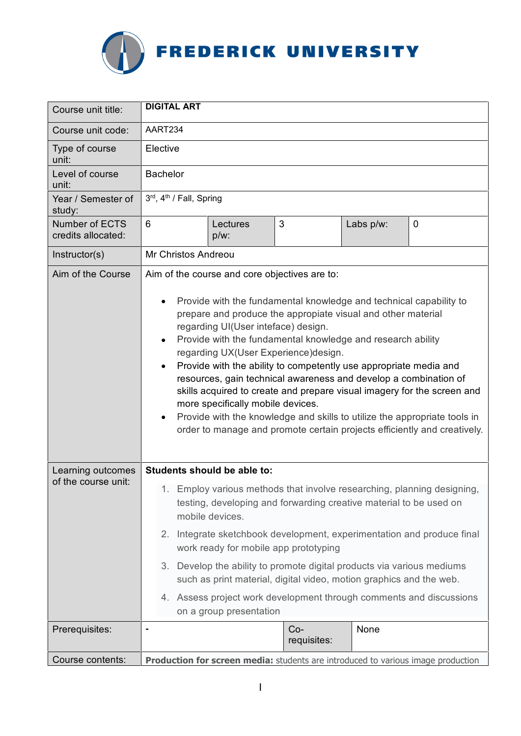

| Course unit title:                       | <b>DIGITAL ART</b>                                                                                                                                                                                                                                                                                                                                                                                                                                                                                                                                                                                                                                                                                                                                                                                      |                                                                                                                                                                                                                                                                                                                                                                                                                                                                                          |           |             |
|------------------------------------------|---------------------------------------------------------------------------------------------------------------------------------------------------------------------------------------------------------------------------------------------------------------------------------------------------------------------------------------------------------------------------------------------------------------------------------------------------------------------------------------------------------------------------------------------------------------------------------------------------------------------------------------------------------------------------------------------------------------------------------------------------------------------------------------------------------|------------------------------------------------------------------------------------------------------------------------------------------------------------------------------------------------------------------------------------------------------------------------------------------------------------------------------------------------------------------------------------------------------------------------------------------------------------------------------------------|-----------|-------------|
| Course unit code:                        | AART234                                                                                                                                                                                                                                                                                                                                                                                                                                                                                                                                                                                                                                                                                                                                                                                                 |                                                                                                                                                                                                                                                                                                                                                                                                                                                                                          |           |             |
| Type of course<br>unit:                  | Elective                                                                                                                                                                                                                                                                                                                                                                                                                                                                                                                                                                                                                                                                                                                                                                                                |                                                                                                                                                                                                                                                                                                                                                                                                                                                                                          |           |             |
| Level of course<br>unit:                 | <b>Bachelor</b>                                                                                                                                                                                                                                                                                                                                                                                                                                                                                                                                                                                                                                                                                                                                                                                         |                                                                                                                                                                                                                                                                                                                                                                                                                                                                                          |           |             |
| Year / Semester of<br>study:             | 3rd, 4th / Fall, Spring                                                                                                                                                                                                                                                                                                                                                                                                                                                                                                                                                                                                                                                                                                                                                                                 |                                                                                                                                                                                                                                                                                                                                                                                                                                                                                          |           |             |
| Number of ECTS<br>credits allocated:     | 6<br>Lectures<br>p/w:                                                                                                                                                                                                                                                                                                                                                                                                                                                                                                                                                                                                                                                                                                                                                                                   | 3                                                                                                                                                                                                                                                                                                                                                                                                                                                                                        | Labs p/w: | $\mathbf 0$ |
| Instructor(s)                            | Mr Christos Andreou                                                                                                                                                                                                                                                                                                                                                                                                                                                                                                                                                                                                                                                                                                                                                                                     |                                                                                                                                                                                                                                                                                                                                                                                                                                                                                          |           |             |
| Aim of the Course                        | Aim of the course and core objectives are to:<br>Provide with the fundamental knowledge and technical capability to<br>$\bullet$<br>prepare and produce the appropiate visual and other material<br>regarding UI(User inteface) design.<br>Provide with the fundamental knowledge and research ability<br>$\bullet$<br>regarding UX(User Experience)design.<br>Provide with the ability to competently use appropriate media and<br>$\bullet$<br>resources, gain technical awareness and develop a combination of<br>skills acquired to create and prepare visual imagery for the screen and<br>more specifically mobile devices.<br>Provide with the knowledge and skills to utilize the appropriate tools in<br>$\bullet$<br>order to manage and promote certain projects efficiently and creatively. |                                                                                                                                                                                                                                                                                                                                                                                                                                                                                          |           |             |
| Learning outcomes<br>of the course unit: | Students should be able to:<br>mobile devices.<br>on a group presentation                                                                                                                                                                                                                                                                                                                                                                                                                                                                                                                                                                                                                                                                                                                               | 1. Employ various methods that involve researching, planning designing,<br>testing, developing and forwarding creative material to be used on<br>2. Integrate sketchbook development, experimentation and produce final<br>work ready for mobile app prototyping<br>3. Develop the ability to promote digital products via various mediums<br>such as print material, digital video, motion graphics and the web.<br>4. Assess project work development through comments and discussions |           |             |
| Prerequisites:                           |                                                                                                                                                                                                                                                                                                                                                                                                                                                                                                                                                                                                                                                                                                                                                                                                         | $Co-$<br>requisites:                                                                                                                                                                                                                                                                                                                                                                                                                                                                     | None      |             |
| Course contents:                         | Production for screen media: students are introduced to various image production                                                                                                                                                                                                                                                                                                                                                                                                                                                                                                                                                                                                                                                                                                                        |                                                                                                                                                                                                                                                                                                                                                                                                                                                                                          |           |             |